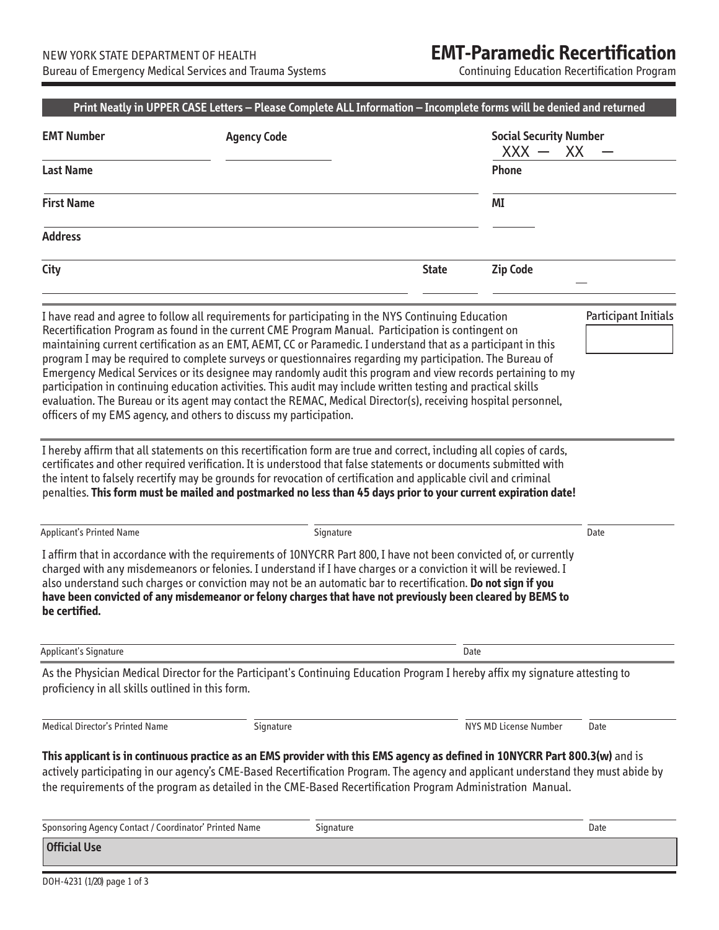## **EMT-Paramedic Recertification**

Continuing Education Recertification Program

|                                                          | <b>Agency Code</b>                                                                                                                                                                                                                                                                                                                                                                                                                                                                                                                                                                                                                                                                                                                                                                                                                                                                                                                                                                                                                                                                                           |              |                       | <b>Social Security Number</b><br>$XXX -$<br>XX |  |
|----------------------------------------------------------|--------------------------------------------------------------------------------------------------------------------------------------------------------------------------------------------------------------------------------------------------------------------------------------------------------------------------------------------------------------------------------------------------------------------------------------------------------------------------------------------------------------------------------------------------------------------------------------------------------------------------------------------------------------------------------------------------------------------------------------------------------------------------------------------------------------------------------------------------------------------------------------------------------------------------------------------------------------------------------------------------------------------------------------------------------------------------------------------------------------|--------------|-----------------------|------------------------------------------------|--|
| <b>Last Name</b>                                         |                                                                                                                                                                                                                                                                                                                                                                                                                                                                                                                                                                                                                                                                                                                                                                                                                                                                                                                                                                                                                                                                                                              |              | Phone                 |                                                |  |
| <b>First Name</b>                                        |                                                                                                                                                                                                                                                                                                                                                                                                                                                                                                                                                                                                                                                                                                                                                                                                                                                                                                                                                                                                                                                                                                              |              | ΜI                    |                                                |  |
| <b>Address</b>                                           |                                                                                                                                                                                                                                                                                                                                                                                                                                                                                                                                                                                                                                                                                                                                                                                                                                                                                                                                                                                                                                                                                                              |              |                       |                                                |  |
| City                                                     |                                                                                                                                                                                                                                                                                                                                                                                                                                                                                                                                                                                                                                                                                                                                                                                                                                                                                                                                                                                                                                                                                                              | <b>State</b> | <b>Zip Code</b>       |                                                |  |
|                                                          | I have read and agree to follow all requirements for participating in the NYS Continuing Education<br>Recertification Program as found in the current CME Program Manual. Participation is contingent on<br>maintaining current certification as an EMT, AEMT, CC or Paramedic. I understand that as a participant in this<br>program I may be required to complete surveys or questionnaires regarding my participation. The Bureau of<br>Emergency Medical Services or its designee may randomly audit this program and view records pertaining to my<br>participation in continuing education activities. This audit may include written testing and practical skills<br>evaluation. The Bureau or its agent may contact the REMAC, Medical Director(s), receiving hospital personnel,<br>officers of my EMS agency, and others to discuss my participation.<br>I hereby affirm that all statements on this recertification form are true and correct, including all copies of cards,<br>certificates and other required verification. It is understood that false statements or documents submitted with |              |                       | <b>Participant Initials</b>                    |  |
|                                                          | the intent to falsely recertify may be grounds for revocation of certification and applicable civil and criminal<br>penalties. This form must be mailed and postmarked no less than 45 days prior to your current expiration date!                                                                                                                                                                                                                                                                                                                                                                                                                                                                                                                                                                                                                                                                                                                                                                                                                                                                           |              |                       |                                                |  |
|                                                          | Signature                                                                                                                                                                                                                                                                                                                                                                                                                                                                                                                                                                                                                                                                                                                                                                                                                                                                                                                                                                                                                                                                                                    |              |                       | Date                                           |  |
| be certified.                                            | I affirm that in accordance with the requirements of 10NYCRR Part 800, I have not been convicted of, or currently<br>charged with any misdemeanors or felonies. I understand if I have charges or a conviction it will be reviewed. I<br>also understand such charges or conviction may not be an automatic bar to recertification. Do not sign if you<br>have been convicted of any misdemeanor or felony charges that have not previously been cleared by BEMS to                                                                                                                                                                                                                                                                                                                                                                                                                                                                                                                                                                                                                                          |              |                       |                                                |  |
| <b>Applicant's Printed Name</b><br>Applicant's Signature |                                                                                                                                                                                                                                                                                                                                                                                                                                                                                                                                                                                                                                                                                                                                                                                                                                                                                                                                                                                                                                                                                                              |              | Date                  |                                                |  |
| proficiency in all skills outlined in this form.         | As the Physician Medical Director for the Participant's Continuing Education Program I hereby affix my signature attesting to                                                                                                                                                                                                                                                                                                                                                                                                                                                                                                                                                                                                                                                                                                                                                                                                                                                                                                                                                                                |              |                       |                                                |  |
| Medical Director's Printed Name                          | Signature                                                                                                                                                                                                                                                                                                                                                                                                                                                                                                                                                                                                                                                                                                                                                                                                                                                                                                                                                                                                                                                                                                    |              | NYS MD License Number | Date                                           |  |
|                                                          | This applicant is in continuous practice as an EMS provider with this EMS agency as defined in 10NYCRR Part 800.3(w) and is<br>actively participating in our agency's CME-Based Recertification Program. The agency and applicant understand they must abide by<br>the requirements of the program as detailed in the CME-Based Recertification Program Administration Manual.                                                                                                                                                                                                                                                                                                                                                                                                                                                                                                                                                                                                                                                                                                                               |              |                       |                                                |  |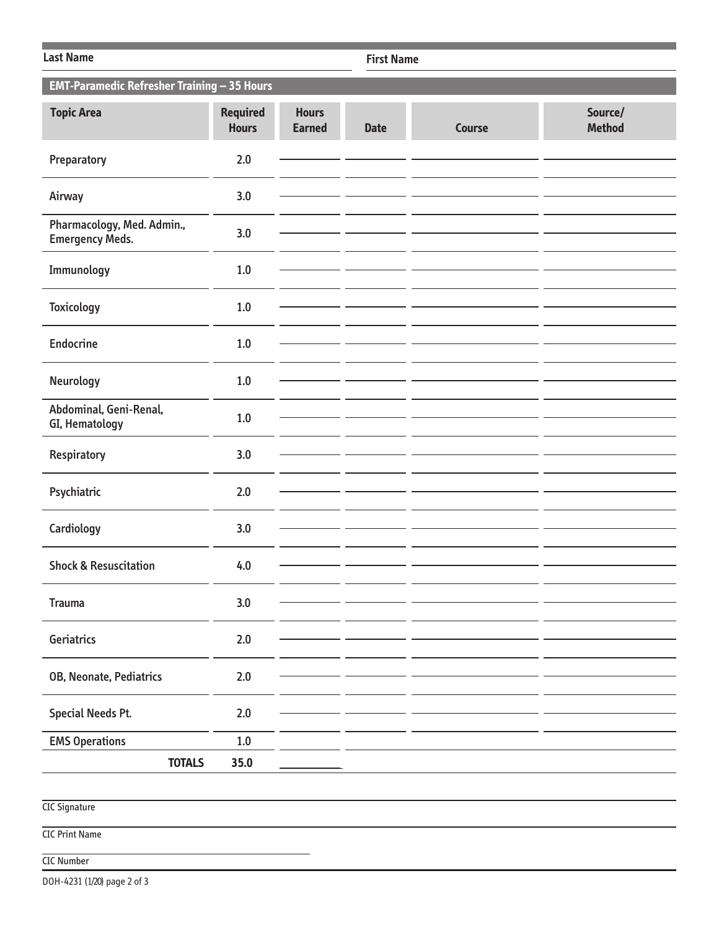| <b>Last Name</b>                                     | <b>First Name</b>               |                               |             |               |                          |
|------------------------------------------------------|---------------------------------|-------------------------------|-------------|---------------|--------------------------|
| EMT-Paramedic Refresher Training - 35 Hours          |                                 |                               |             |               |                          |
| <b>Topic Area</b>                                    | <b>Required</b><br><b>Hours</b> | <b>Hours</b><br><b>Earned</b> | <b>Date</b> | <b>Course</b> | Source/<br><b>Method</b> |
| Preparatory                                          | 2.0                             |                               |             |               |                          |
| Airway                                               | 3.0                             |                               |             |               |                          |
| Pharmacology, Med. Admin.,<br><b>Emergency Meds.</b> | 3.0                             |                               |             |               |                          |
| Immunology                                           | 1.0                             |                               |             |               |                          |
| <b>Toxicology</b>                                    | $1.0\,$                         |                               |             |               |                          |
| <b>Endocrine</b>                                     | $1.0$                           |                               |             |               |                          |
| Neurology                                            | $1.0$                           |                               |             |               |                          |
| Abdominal, Geni-Renal,<br>GI, Hematology             | 1.0                             |                               |             |               |                          |
| Respiratory                                          | 3.0                             |                               |             |               |                          |
| Psychiatric                                          | 2.0                             |                               |             |               |                          |
| Cardiology                                           | 3.0                             |                               |             |               |                          |
| <b>Shock &amp; Resuscitation</b>                     | 4.0                             |                               |             |               |                          |
| <b>Trauma</b>                                        | 3.0                             |                               |             |               |                          |
| Geriatrics                                           | $2.0\,$                         |                               |             |               |                          |
| OB, Neonate, Pediatrics                              | $2.0$                           |                               |             |               |                          |
| <b>Special Needs Pt.</b>                             | $2.0$                           |                               |             |               |                          |
|                                                      | $1.0\,$                         |                               |             |               |                          |
| <b>EMS Operations</b><br><b>TOTALS</b>               | 35.0                            |                               |             |               |                          |
|                                                      |                                 |                               |             |               |                          |
| <b>CIC Signature</b>                                 |                                 |                               |             |               |                          |
| <b>CIC Print Name</b>                                |                                 |                               |             |               |                          |
| <b>CIC Number</b>                                    |                                 |                               |             |               |                          |

DOH-4231 (1/20) page 2 of 3